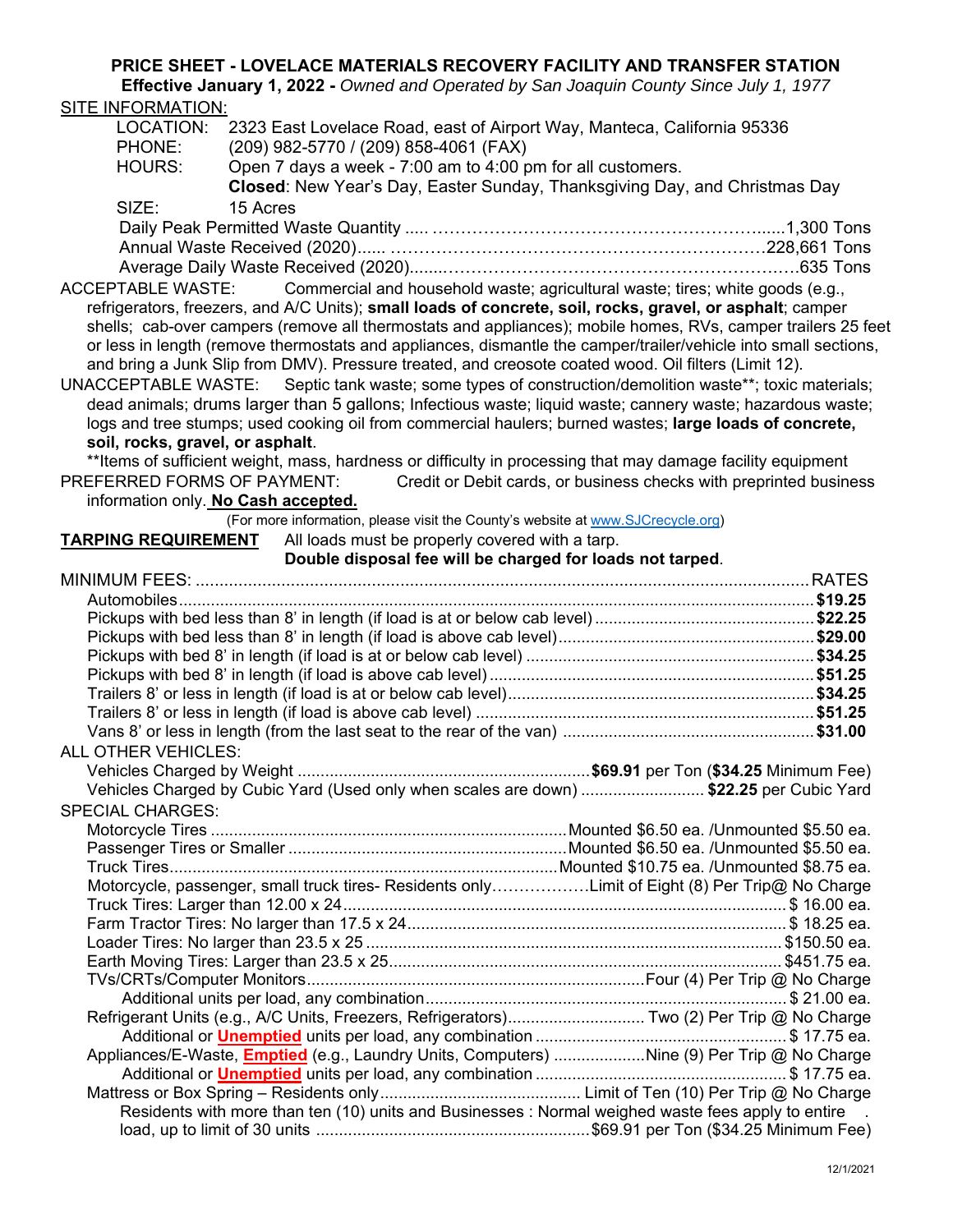## **PRICE SHEET - LOVELACE MATERIALS RECOVERY FACILITY AND TRANSFER STATION**

**Effective January 1, 2022 -** *Owned and Operated by San Joaquin County Since July 1, 1977*  SITE INFORMATION:

| LOCATION:                                                                                                  | 2323 East Lovelace Road, east of Airport Way, Manteca, California 95336                                     |                                                                               |                                                                                                                 |
|------------------------------------------------------------------------------------------------------------|-------------------------------------------------------------------------------------------------------------|-------------------------------------------------------------------------------|-----------------------------------------------------------------------------------------------------------------|
| PHONE:                                                                                                     | (209) 982-5770 / (209) 858-4061 (FAX)                                                                       |                                                                               |                                                                                                                 |
| HOURS:                                                                                                     | Open 7 days a week - 7:00 am to 4:00 pm for all customers.                                                  |                                                                               |                                                                                                                 |
|                                                                                                            | Closed: New Year's Day, Easter Sunday, Thanksgiving Day, and Christmas Day                                  |                                                                               |                                                                                                                 |
| SIZE:                                                                                                      | 15 Acres                                                                                                    |                                                                               |                                                                                                                 |
|                                                                                                            |                                                                                                             |                                                                               |                                                                                                                 |
|                                                                                                            |                                                                                                             |                                                                               |                                                                                                                 |
|                                                                                                            |                                                                                                             |                                                                               |                                                                                                                 |
| <b>ACCEPTABLE WASTE:</b>                                                                                   |                                                                                                             | Commercial and household waste; agricultural waste; tires; white goods (e.g., |                                                                                                                 |
|                                                                                                            | refrigerators, freezers, and A/C Units); small loads of concrete, soil, rocks, gravel, or asphalt; camper   |                                                                               |                                                                                                                 |
|                                                                                                            |                                                                                                             |                                                                               | shells; cab-over campers (remove all thermostats and appliances); mobile homes, RVs, camper trailers 25 feet    |
|                                                                                                            |                                                                                                             |                                                                               | or less in length (remove thermostats and appliances, dismantle the camper/trailer/vehicle into small sections, |
|                                                                                                            | and bring a Junk Slip from DMV). Pressure treated, and creosote coated wood. Oil filters (Limit 12).        |                                                                               |                                                                                                                 |
| UNACCEPTABLE WASTE: Septic tank waste; some types of construction/demolition waste**; toxic materials;     |                                                                                                             |                                                                               |                                                                                                                 |
| dead animals; drums larger than 5 gallons; Infectious waste; liquid waste; cannery waste; hazardous waste; |                                                                                                             |                                                                               |                                                                                                                 |
|                                                                                                            | logs and tree stumps; used cooking oil from commercial haulers; burned wastes; large loads of concrete,     |                                                                               |                                                                                                                 |
| soil, rocks, gravel, or asphalt.                                                                           |                                                                                                             |                                                                               |                                                                                                                 |
|                                                                                                            | **Items of sufficient weight, mass, hardness or difficulty in processing that may damage facility equipment |                                                                               |                                                                                                                 |
|                                                                                                            | PREFERRED FORMS OF PAYMENT:                                                                                 |                                                                               | Credit or Debit cards, or business checks with preprinted business                                              |
|                                                                                                            | information only. No Cash accepted.                                                                         |                                                                               |                                                                                                                 |
|                                                                                                            | (For more information, please visit the County's website at www.SJCrecycle.org)                             |                                                                               |                                                                                                                 |
| <b>TARPING REQUIREMENT</b>                                                                                 |                                                                                                             | All loads must be properly covered with a tarp.                               |                                                                                                                 |
|                                                                                                            |                                                                                                             | Double disposal fee will be charged for loads not tarped.                     |                                                                                                                 |
|                                                                                                            |                                                                                                             |                                                                               |                                                                                                                 |
|                                                                                                            |                                                                                                             |                                                                               |                                                                                                                 |
|                                                                                                            |                                                                                                             |                                                                               |                                                                                                                 |
|                                                                                                            |                                                                                                             |                                                                               |                                                                                                                 |
|                                                                                                            |                                                                                                             |                                                                               |                                                                                                                 |
|                                                                                                            |                                                                                                             |                                                                               |                                                                                                                 |
|                                                                                                            |                                                                                                             |                                                                               |                                                                                                                 |
|                                                                                                            |                                                                                                             |                                                                               |                                                                                                                 |
|                                                                                                            |                                                                                                             |                                                                               |                                                                                                                 |
| <b>ALL OTHER VEHICLES:</b>                                                                                 |                                                                                                             |                                                                               |                                                                                                                 |
|                                                                                                            |                                                                                                             |                                                                               |                                                                                                                 |
|                                                                                                            | Vehicles Charged by Cubic Yard (Used only when scales are down) \$22.25 per Cubic Yard                      |                                                                               |                                                                                                                 |
| <b>SPECIAL CHARGES:</b>                                                                                    |                                                                                                             |                                                                               |                                                                                                                 |
|                                                                                                            |                                                                                                             |                                                                               |                                                                                                                 |
|                                                                                                            |                                                                                                             |                                                                               |                                                                                                                 |
|                                                                                                            |                                                                                                             |                                                                               |                                                                                                                 |
|                                                                                                            | Motorcycle, passenger, small truck tires- Residents onlyLimit of Eight (8) Per Trip@ No Charge              |                                                                               |                                                                                                                 |
|                                                                                                            |                                                                                                             |                                                                               |                                                                                                                 |
|                                                                                                            |                                                                                                             |                                                                               |                                                                                                                 |
|                                                                                                            |                                                                                                             |                                                                               |                                                                                                                 |
|                                                                                                            |                                                                                                             |                                                                               |                                                                                                                 |
|                                                                                                            |                                                                                                             |                                                                               |                                                                                                                 |
|                                                                                                            |                                                                                                             |                                                                               |                                                                                                                 |
|                                                                                                            | Refrigerant Units (e.g., A/C Units, Freezers, Refrigerators) Two (2) Per Trip @ No Charge                   |                                                                               |                                                                                                                 |
|                                                                                                            |                                                                                                             |                                                                               |                                                                                                                 |
|                                                                                                            | Appliances/E-Waste, <b>Emptied</b> (e.g., Laundry Units, Computers) Nine (9) Per Trip @ No Charge           |                                                                               |                                                                                                                 |
|                                                                                                            |                                                                                                             |                                                                               |                                                                                                                 |
|                                                                                                            | Residents with more than ten (10) units and Businesses : Normal weighed waste fees apply to entire          |                                                                               |                                                                                                                 |
|                                                                                                            |                                                                                                             |                                                                               |                                                                                                                 |
|                                                                                                            |                                                                                                             |                                                                               |                                                                                                                 |